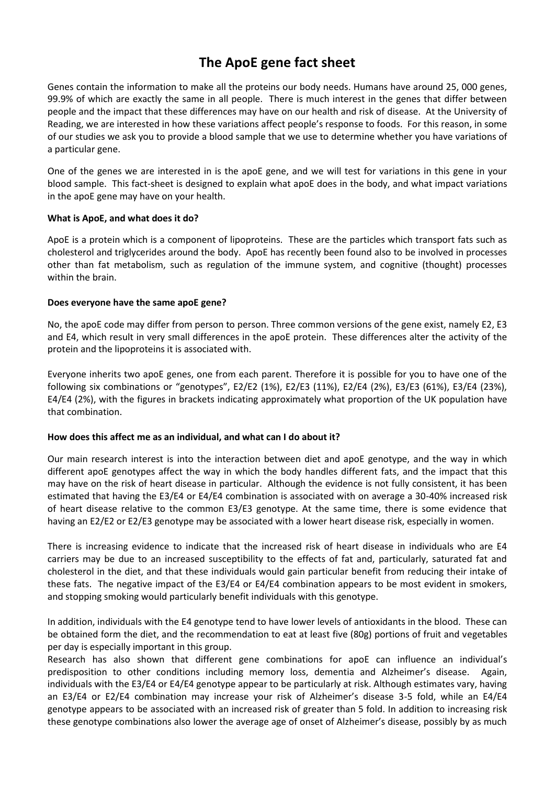# **The ApoE gene fact sheet**

Genes contain the information to make all the proteins our body needs. Humans have around 25, 000 genes, 99.9% of which are exactly the same in all people. There is much interest in the genes that differ between people and the impact that these differences may have on our health and risk of disease. At the University of Reading, we are interested in how these variations affect people's response to foods. For this reason, in some of our studies we ask you to provide a blood sample that we use to determine whether you have variations of a particular gene.

One of the genes we are interested in is the apoE gene, and we will test for variations in this gene in your blood sample. This fact-sheet is designed to explain what apoE does in the body, and what impact variations in the apoE gene may have on your health.

## **What is ApoE, and what does it do?**

ApoE is a protein which is a component of lipoproteins. These are the particles which transport fats such as cholesterol and triglycerides around the body. ApoE has recently been found also to be involved in processes other than fat metabolism, such as regulation of the immune system, and cognitive (thought) processes within the brain.

## **Does everyone have the same apoE gene?**

No, the apoE code may differ from person to person. Three common versions of the gene exist, namely E2, E3 and E4, which result in very small differences in the apoE protein. These differences alter the activity of the protein and the lipoproteins it is associated with.

Everyone inherits two apoE genes, one from each parent. Therefore it is possible for you to have one of the following six combinations or "genotypes", E2/E2 (1%), E2/E3 (11%), E2/E4 (2%), E3/E3 (61%), E3/E4 (23%), E4/E4 (2%), with the figures in brackets indicating approximately what proportion of the UK population have that combination.

## **How does this affect me as an individual, and what can I do about it?**

Our main research interest is into the interaction between diet and apoE genotype, and the way in which different apoE genotypes affect the way in which the body handles different fats, and the impact that this may have on the risk of heart disease in particular. Although the evidence is not fully consistent, it has been estimated that having the E3/E4 or E4/E4 combination is associated with on average a 30-40% increased risk of heart disease relative to the common E3/E3 genotype. At the same time, there is some evidence that having an E2/E2 or E2/E3 genotype may be associated with a lower heart disease risk, especially in women.

There is increasing evidence to indicate that the increased risk of heart disease in individuals who are E4 carriers may be due to an increased susceptibility to the effects of fat and, particularly, saturated fat and cholesterol in the diet, and that these individuals would gain particular benefit from reducing their intake of these fats. The negative impact of the E3/E4 or E4/E4 combination appears to be most evident in smokers, and stopping smoking would particularly benefit individuals with this genotype.

In addition, individuals with the E4 genotype tend to have lower levels of antioxidants in the blood. These can be obtained form the diet, and the recommendation to eat at least five (80g) portions of fruit and vegetables per day is especially important in this group.

Research has also shown that different gene combinations for apoE can influence an individual's predisposition to other conditions including memory loss, dementia and Alzheimer's disease. Again, individuals with the E3/E4 or E4/E4 genotype appear to be particularly at risk. Although estimates vary, having an E3/E4 or E2/E4 combination may increase your risk of Alzheimer's disease 3-5 fold, while an E4/E4 genotype appears to be associated with an increased risk of greater than 5 fold. In addition to increasing risk these genotype combinations also lower the average age of onset of Alzheimer's disease, possibly by as much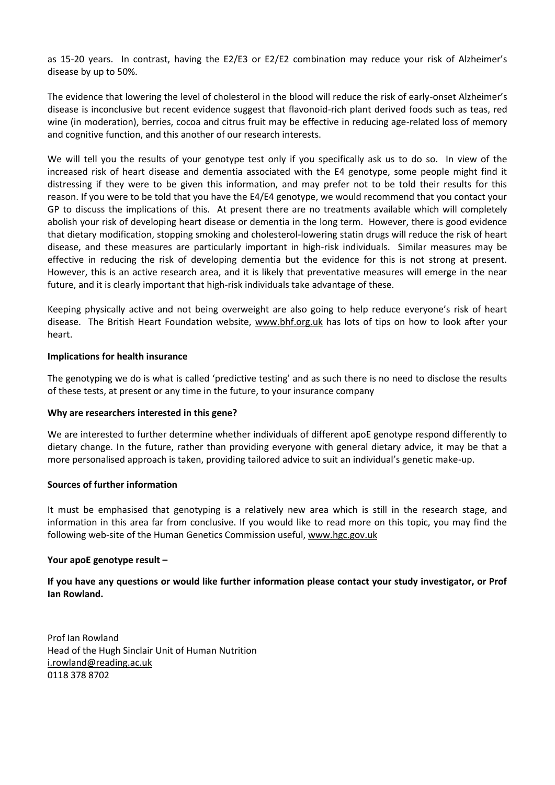as 15-20 years. In contrast, having the E2/E3 or E2/E2 combination may reduce your risk of Alzheimer's disease by up to 50%.

The evidence that lowering the level of cholesterol in the blood will reduce the risk of early-onset Alzheimer's disease is inconclusive but recent evidence suggest that flavonoid-rich plant derived foods such as teas, red wine (in moderation), berries, cocoa and citrus fruit may be effective in reducing age-related loss of memory and cognitive function, and this another of our research interests.

We will tell you the results of your genotype test only if you specifically ask us to do so. In view of the increased risk of heart disease and dementia associated with the E4 genotype, some people might find it distressing if they were to be given this information, and may prefer not to be told their results for this reason. If you were to be told that you have the E4/E4 genotype, we would recommend that you contact your GP to discuss the implications of this. At present there are no treatments available which will completely abolish your risk of developing heart disease or dementia in the long term. However, there is good evidence that dietary modification, stopping smoking and cholesterol-lowering statin drugs will reduce the risk of heart disease, and these measures are particularly important in high-risk individuals. Similar measures may be effective in reducing the risk of developing dementia but the evidence for this is not strong at present. However, this is an active research area, and it is likely that preventative measures will emerge in the near future, and it is clearly important that high-risk individuals take advantage of these.

Keeping physically active and not being overweight are also going to help reduce everyone's risk of heart disease. The British Heart Foundation website, [www.bhf.org.uk](http://www.bhf.org.uk/) has lots of tips on how to look after your heart.

## **Implications for health insurance**

The genotyping we do is what is called 'predictive testing' and as such there is no need to disclose the results of these tests, at present or any time in the future, to your insurance company

## **Why are researchers interested in this gene?**

We are interested to further determine whether individuals of different apoE genotype respond differently to dietary change. In the future, rather than providing everyone with general dietary advice, it may be that a more personalised approach is taken, providing tailored advice to suit an individual's genetic make-up.

## **Sources of further information**

It must be emphasised that genotyping is a relatively new area which is still in the research stage, and information in this area far from conclusive. If you would like to read more on this topic, you may find the following web-site of the Human Genetics Commission useful[, www.hgc.gov.uk](http://www.hgc.gov.uk/)

## **Your apoE genotype result –**

**If you have any questions or would like further information please contact your study investigator, or Prof Ian Rowland.**

Prof Ian Rowland Head of the Hugh Sinclair Unit of Human Nutrition [i.rowland@reading.ac.uk](mailto:i.rowland@reading.ac.uk) 0118 378 8702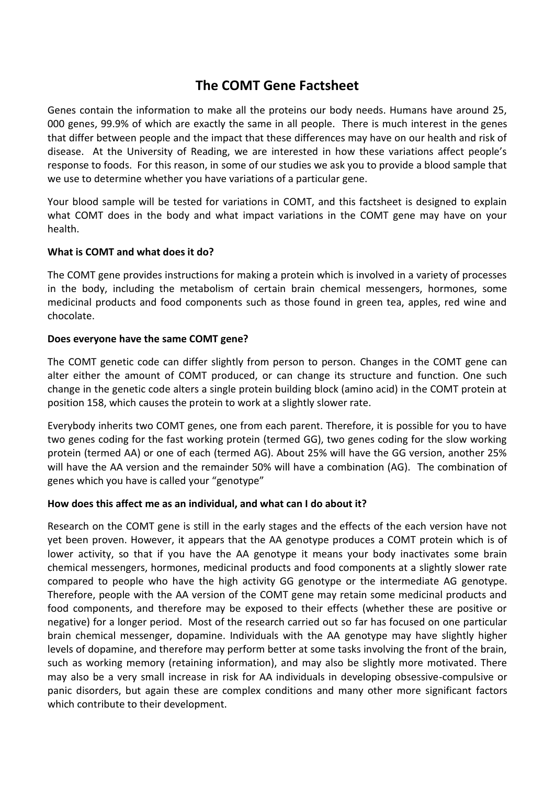# **The COMT Gene Factsheet**

Genes contain the information to make all the proteins our body needs. Humans have around 25, 000 genes, 99.9% of which are exactly the same in all people. There is much interest in the genes that differ between people and the impact that these differences may have on our health and risk of disease. At the University of Reading, we are interested in how these variations affect people's response to foods. For this reason, in some of our studies we ask you to provide a blood sample that we use to determine whether you have variations of a particular gene.

Your blood sample will be tested for variations in COMT, and this factsheet is designed to explain what COMT does in the body and what impact variations in the COMT gene may have on your health.

# **What is COMT and what does it do?**

The COMT gene provides instructions for making a protein which is involved in a variety of processes in the body, including the metabolism of certain brain chemical messengers, hormones, some medicinal products and food components such as those found in green tea, apples, red wine and chocolate.

# **Does everyone have the same COMT gene?**

The COMT genetic code can differ slightly from person to person. Changes in the COMT gene can alter either the amount of COMT produced, or can change its structure and function. One such change in the genetic code alters a single protein building block (amino acid) in the COMT protein at position 158, which causes the protein to work at a slightly slower rate.

Everybody inherits two COMT genes, one from each parent. Therefore, it is possible for you to have two genes coding for the fast working protein (termed GG), two genes coding for the slow working protein (termed AA) or one of each (termed AG). About 25% will have the GG version, another 25% will have the AA version and the remainder 50% will have a combination (AG). The combination of genes which you have is called your "genotype"

# **How does this affect me as an individual, and what can I do about it?**

Research on the COMT gene is still in the early stages and the effects of the each version have not yet been proven. However, it appears that the AA genotype produces a COMT protein which is of lower activity, so that if you have the AA genotype it means your body inactivates some brain chemical messengers, hormones, medicinal products and food components at a slightly slower rate compared to people who have the high activity GG genotype or the intermediate AG genotype. Therefore, people with the AA version of the COMT gene may retain some medicinal products and food components, and therefore may be exposed to their effects (whether these are positive or negative) for a longer period. Most of the research carried out so far has focused on one particular brain chemical messenger, dopamine. Individuals with the AA genotype may have slightly higher levels of dopamine, and therefore may perform better at some tasks involving the front of the brain, such as working memory (retaining information), and may also be slightly more motivated. There may also be a very small increase in risk for AA individuals in developing obsessive-compulsive or panic disorders, but again these are complex conditions and many other more significant factors which contribute to their development.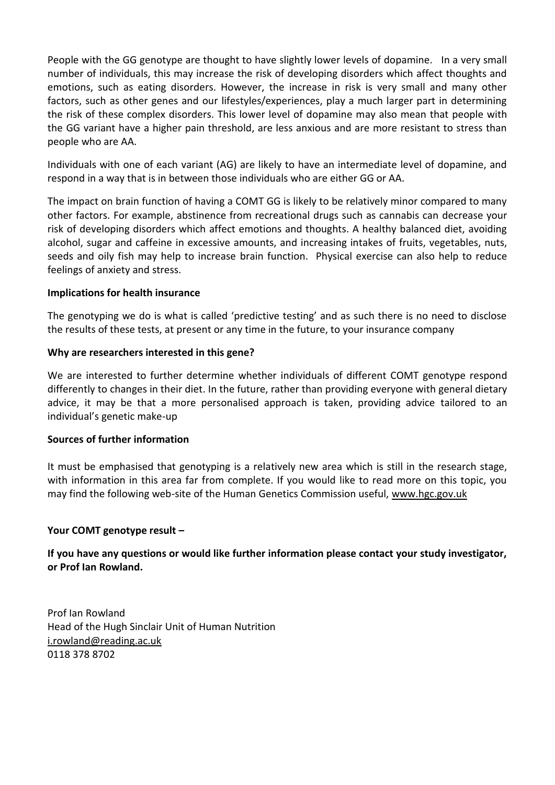People with the GG genotype are thought to have slightly lower levels of dopamine. In a very small number of individuals, this may increase the risk of developing disorders which affect thoughts and emotions, such as eating disorders. However, the increase in risk is very small and many other factors, such as other genes and our lifestyles/experiences, play a much larger part in determining the risk of these complex disorders. This lower level of dopamine may also mean that people with the GG variant have a higher pain threshold, are less anxious and are more resistant to stress than people who are AA.

Individuals with one of each variant (AG) are likely to have an intermediate level of dopamine, and respond in a way that is in between those individuals who are either GG or AA.

The impact on brain function of having a COMT GG is likely to be relatively minor compared to many other factors. For example, abstinence from recreational drugs such as cannabis can decrease your risk of developing disorders which affect emotions and thoughts. A healthy balanced diet, avoiding alcohol, sugar and caffeine in excessive amounts, and increasing intakes of fruits, vegetables, nuts, seeds and oily fish may help to increase brain function. Physical exercise can also help to reduce feelings of anxiety and stress.

# **Implications for health insurance**

The genotyping we do is what is called 'predictive testing' and as such there is no need to disclose the results of these tests, at present or any time in the future, to your insurance company

# **Why are researchers interested in this gene?**

We are interested to further determine whether individuals of different COMT genotype respond differently to changes in their diet. In the future, rather than providing everyone with general dietary advice, it may be that a more personalised approach is taken, providing advice tailored to an individual's genetic make-up

# **Sources of further information**

It must be emphasised that genotyping is a relatively new area which is still in the research stage, with information in this area far from complete. If you would like to read more on this topic, you may find the following web-site of the Human Genetics Commission useful, [www.hgc.gov.uk](http://www.hgc.gov.uk/)

# **Your COMT genotype result –**

# **If you have any questions or would like further information please contact your study investigator, or Prof Ian Rowland.**

Prof Ian Rowland Head of the Hugh Sinclair Unit of Human Nutrition [i.rowland@reading.ac.uk](mailto:i.rowland@reading.ac.uk) 0118 378 8702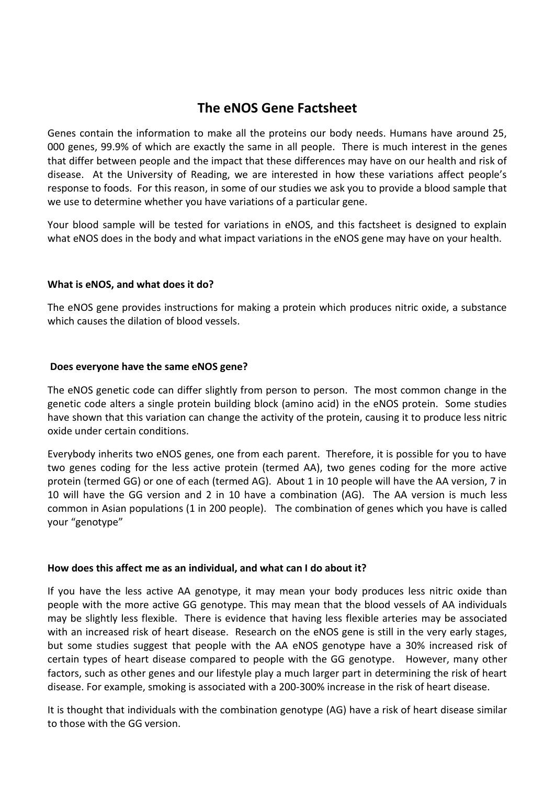# **The eNOS Gene Factsheet**

Genes contain the information to make all the proteins our body needs. Humans have around 25, 000 genes, 99.9% of which are exactly the same in all people. There is much interest in the genes that differ between people and the impact that these differences may have on our health and risk of disease. At the University of Reading, we are interested in how these variations affect people's response to foods. For this reason, in some of our studies we ask you to provide a blood sample that we use to determine whether you have variations of a particular gene.

Your blood sample will be tested for variations in eNOS, and this factsheet is designed to explain what eNOS does in the body and what impact variations in the eNOS gene may have on your health.

# **What is eNOS, and what does it do?**

The eNOS gene provides instructions for making a protein which produces nitric oxide, a substance which causes the dilation of blood vessels.

# **Does everyone have the same eNOS gene?**

The eNOS genetic code can differ slightly from person to person. The most common change in the genetic code alters a single protein building block (amino acid) in the eNOS protein. Some studies have shown that this variation can change the activity of the protein, causing it to produce less nitric oxide under certain conditions.

Everybody inherits two eNOS genes, one from each parent. Therefore, it is possible for you to have two genes coding for the less active protein (termed AA), two genes coding for the more active protein (termed GG) or one of each (termed AG). About 1 in 10 people will have the AA version, 7 in 10 will have the GG version and 2 in 10 have a combination (AG). The AA version is much less common in Asian populations (1 in 200 people). The combination of genes which you have is called your "genotype"

# **How does this affect me as an individual, and what can I do about it?**

If you have the less active AA genotype, it may mean your body produces less nitric oxide than people with the more active GG genotype. This may mean that the blood vessels of AA individuals may be slightly less flexible. There is evidence that having less flexible arteries may be associated with an increased risk of heart disease. Research on the eNOS gene is still in the very early stages, but some studies suggest that people with the AA eNOS genotype have a 30% increased risk of certain types of heart disease compared to people with the GG genotype. However, many other factors, such as other genes and our lifestyle play a much larger part in determining the risk of heart disease. For example, smoking is associated with a 200-300% increase in the risk of heart disease.

It is thought that individuals with the combination genotype (AG) have a risk of heart disease similar to those with the GG version.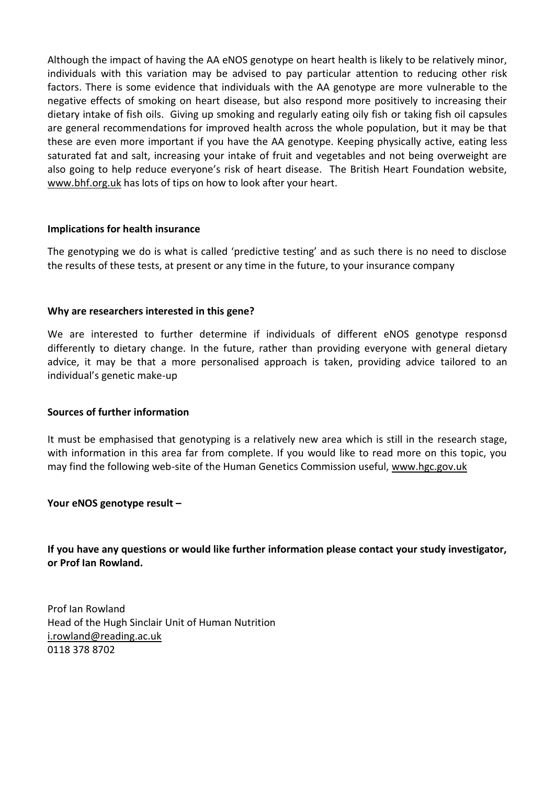Although the impact of having the AA eNOS genotype on heart health is likely to be relatively minor, individuals with this variation may be advised to pay particular attention to reducing other risk factors. There is some evidence that individuals with the AA genotype are more vulnerable to the negative effects of smoking on heart disease, but also respond more positively to increasing their dietary intake of fish oils. Giving up smoking and regularly eating oily fish or taking fish oil capsules are general recommendations for improved health across the whole population, but it may be that these are even more important if you have the AA genotype. Keeping physically active, eating less saturated fat and salt, increasing your intake of fruit and vegetables and not being overweight are also going to help reduce everyone's risk of heart disease. The British Heart Foundation website, [www.bhf.org.uk](http://www.bhf.org.uk/) has lots of tips on how to look after your heart.

# **Implications for health insurance**

The genotyping we do is what is called 'predictive testing' and as such there is no need to disclose the results of these tests, at present or any time in the future, to your insurance company

# **Why are researchers interested in this gene?**

We are interested to further determine if individuals of different eNOS genotype responsd differently to dietary change. In the future, rather than providing everyone with general dietary advice, it may be that a more personalised approach is taken, providing advice tailored to an individual's genetic make-up

# **Sources of further information**

It must be emphasised that genotyping is a relatively new area which is still in the research stage, with information in this area far from complete. If you would like to read more on this topic, you may find the following web-site of the Human Genetics Commission useful, [www.hgc.gov.uk](http://www.hgc.gov.uk/)

# **Your eNOS genotype result –**

**If you have any questions or would like further information please contact your study investigator, or Prof Ian Rowland.**

Prof Ian Rowland Head of the Hugh Sinclair Unit of Human Nutrition [i.rowland@reading.ac.uk](mailto:i.rowland@reading.ac.uk) 0118 378 8702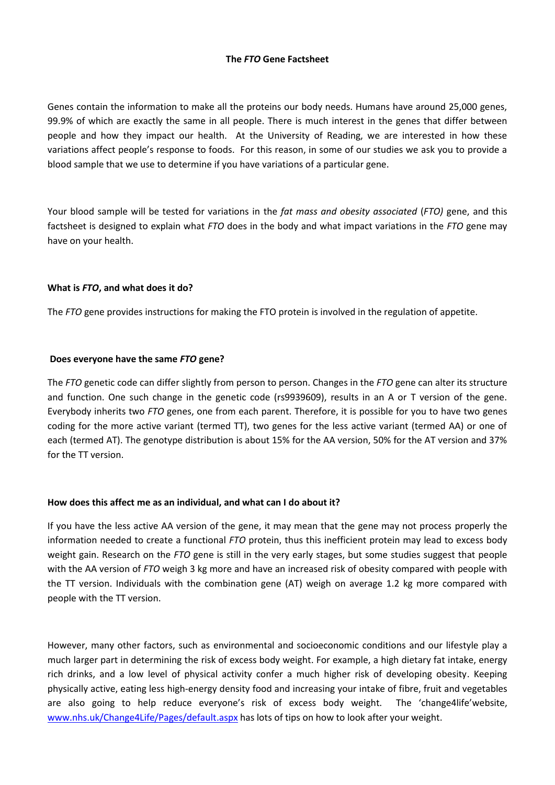# **The** *FTO* **Gene Factsheet**

Genes contain the information to make all the proteins our body needs. Humans have around 25,000 genes, 99.9% of which are exactly the same in all people. There is much interest in the genes that differ between people and how they impact our health. At the University of Reading, we are interested in how these variations affect people's response to foods. For this reason, in some of our studies we ask you to provide a blood sample that we use to determine if you have variations of a particular gene.

Your blood sample will be tested for variations in the *fat mass and obesity associated* (*FTO)* gene, and this factsheet is designed to explain what *FTO* does in the body and what impact variations in the *FTO* gene may have on your health.

## **What is** *FTO***, and what does it do?**

The *FTO* gene provides instructions for making the FTO protein is involved in the regulation of appetite.

## **Does everyone have the same** *FTO* **gene?**

The *FTO* genetic code can differ slightly from person to person. Changes in the *FTO* gene can alter its structure and function. One such change in the genetic code (rs9939609), results in an A or T version of the gene. Everybody inherits two *FTO* genes, one from each parent. Therefore, it is possible for you to have two genes coding for the more active variant (termed TT), two genes for the less active variant (termed AA) or one of each (termed AT). The genotype distribution is about 15% for the AA version, 50% for the AT version and 37% for the TT version.

## **How does this affect me as an individual, and what can I do about it?**

If you have the less active AA version of the gene, it may mean that the gene may not process properly the information needed to create a functional *FTO* protein, thus this inefficient protein may lead to excess body weight gain. Research on the *FTO* gene is still in the very early stages, but some studies suggest that people with the AA version of *FTO* weigh 3 kg more and have an increased risk of obesity compared with people with the TT version. Individuals with the combination gene (AT) weigh on average 1.2 kg more compared with people with the TT version.

However, many other factors, such as environmental and socioeconomic conditions and our lifestyle play a much larger part in determining the risk of excess body weight. For example, a high dietary fat intake, energy rich drinks, and a low level of physical activity confer a much higher risk of developing obesity. Keeping physically active, eating less high-energy density food and increasing your intake of fibre, fruit and vegetables are also going to help reduce everyone's risk of excess body weight. The 'change4life'website, [www.nhs.uk/Change4Life/Pages/default.aspx](http://www.nhs.uk/Change4Life/Pages/default.aspx) has lots of tips on how to look after your weight.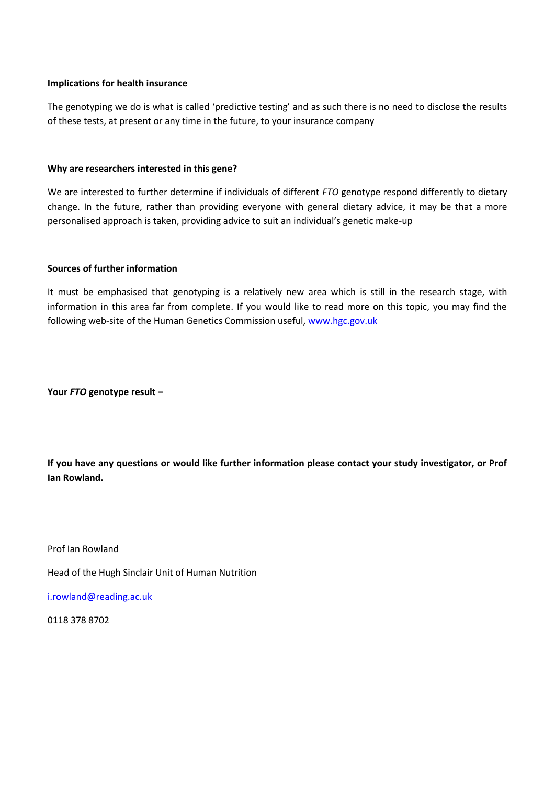## **Implications for health insurance**

The genotyping we do is what is called 'predictive testing' and as such there is no need to disclose the results of these tests, at present or any time in the future, to your insurance company

## **Why are researchers interested in this gene?**

We are interested to further determine if individuals of different *FTO* genotype respond differently to dietary change. In the future, rather than providing everyone with general dietary advice, it may be that a more personalised approach is taken, providing advice to suit an individual's genetic make-up

# **Sources of further information**

It must be emphasised that genotyping is a relatively new area which is still in the research stage, with information in this area far from complete. If you would like to read more on this topic, you may find the following web-site of the Human Genetics Commission useful[, www.hgc.gov.uk](http://www.hgc.gov.uk/)

**Your** *FTO* **genotype result –**

**If you have any questions or would like further information please contact your study investigator, or Prof Ian Rowland.**

Prof Ian Rowland

Head of the Hugh Sinclair Unit of Human Nutrition

[i.rowland@reading.ac.uk](mailto:i.rowland@reading.ac.uk)

0118 378 8702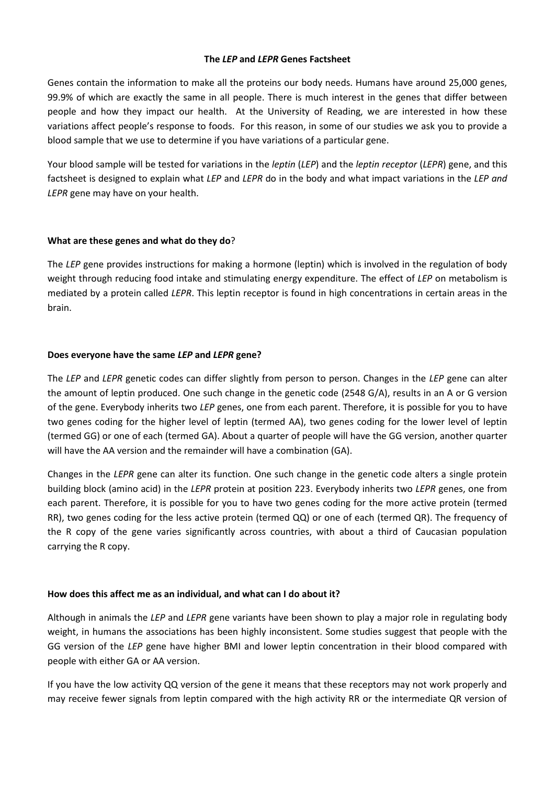## **The** *LEP* **and** *LEPR* **Genes Factsheet**

Genes contain the information to make all the proteins our body needs. Humans have around 25,000 genes, 99.9% of which are exactly the same in all people. There is much interest in the genes that differ between people and how they impact our health. At the University of Reading, we are interested in how these variations affect people's response to foods. For this reason, in some of our studies we ask you to provide a blood sample that we use to determine if you have variations of a particular gene.

Your blood sample will be tested for variations in the *leptin* (*LEP*) and the *leptin receptor* (*LEPR*) gene, and this factsheet is designed to explain what *LEP* and *LEPR* do in the body and what impact variations in the *LEP and LEPR* gene may have on your health.

# **What are these genes and what do they do**?

The *LEP* gene provides instructions for making a hormone (leptin) which is involved in the regulation of body weight through reducing food intake and stimulating energy expenditure. The effect of *LEP* on metabolism is mediated by a protein called *LEPR*. This leptin receptor is found in high concentrations in certain areas in the brain.

# **Does everyone have the same** *LEP* **and** *LEPR* **gene?**

The *LEP* and *LEPR* genetic codes can differ slightly from person to person. Changes in the *LEP* gene can alter the amount of leptin produced. One such change in the genetic code (2548 G/A), results in an A or G version of the gene. Everybody inherits two *LEP* genes, one from each parent. Therefore, it is possible for you to have two genes coding for the higher level of leptin (termed AA), two genes coding for the lower level of leptin (termed GG) or one of each (termed GA). About a quarter of people will have the GG version, another quarter will have the AA version and the remainder will have a combination (GA).

Changes in the *LEPR* gene can alter its function. One such change in the genetic code alters a single protein building block (amino acid) in the *LEPR* protein at position 223. Everybody inherits two *LEPR* genes, one from each parent. Therefore, it is possible for you to have two genes coding for the more active protein (termed RR), two genes coding for the less active protein (termed QQ) or one of each (termed QR). The frequency of the R copy of the gene varies significantly across countries, with about a third of Caucasian population carrying the R copy.

## **How does this affect me as an individual, and what can I do about it?**

Although in animals the *LEP* and *LEPR* gene variants have been shown to play a major role in regulating body weight, in humans the associations has been highly inconsistent. Some studies suggest that people with the GG version of the *LEP* gene have higher BMI and lower leptin concentration in their blood compared with people with either GA or AA version.

If you have the low activity QQ version of the gene it means that these receptors may not work properly and may receive fewer signals from leptin compared with the high activity RR or the intermediate QR version of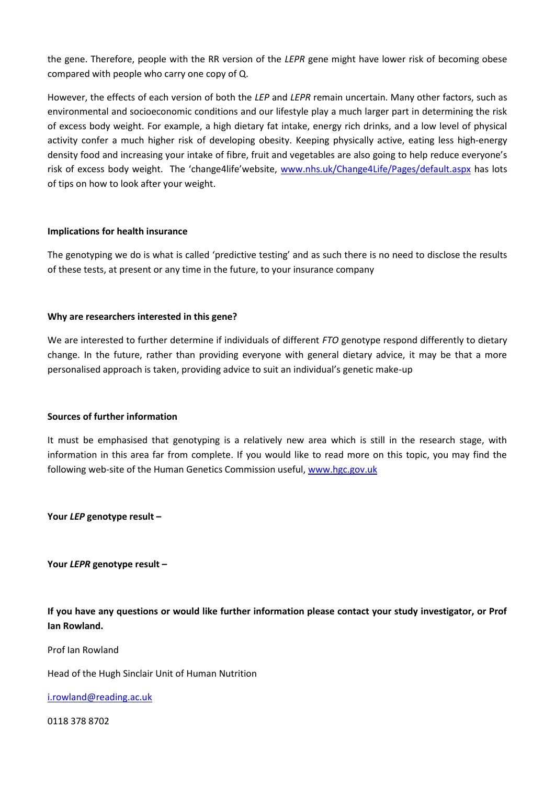the gene. Therefore, people with the RR version of the *LEPR* gene might have lower risk of becoming obese compared with people who carry one copy of Q.

However, the effects of each version of both the *LEP* and *LEPR* remain uncertain. Many other factors, such as environmental and socioeconomic conditions and our lifestyle play a much larger part in determining the risk of excess body weight. For example, a high dietary fat intake, energy rich drinks, and a low level of physical activity confer a much higher risk of developing obesity. Keeping physically active, eating less high-energy density food and increasing your intake of fibre, fruit and vegetables are also going to help reduce everyone's risk of excess body weight. The 'change4life'website, [www.nhs.uk/Change4Life/Pages/default.aspx](http://www.nhs.uk/Change4Life/Pages/default.aspx) has lots of tips on how to look after your weight.

## **Implications for health insurance**

The genotyping we do is what is called 'predictive testing' and as such there is no need to disclose the results of these tests, at present or any time in the future, to your insurance company

## **Why are researchers interested in this gene?**

We are interested to further determine if individuals of different *FTO* genotype respond differently to dietary change. In the future, rather than providing everyone with general dietary advice, it may be that a more personalised approach is taken, providing advice to suit an individual's genetic make-up

## **Sources of further information**

It must be emphasised that genotyping is a relatively new area which is still in the research stage, with information in this area far from complete. If you would like to read more on this topic, you may find the following web-site of the Human Genetics Commission useful, [www.hgc.gov.uk](http://www.hgc.gov.uk/)

**Your** *LEP* **genotype result –**

**Your** *LEPR* **genotype result –**

**If you have any questions or would like further information please contact your study investigator, or Prof Ian Rowland.**

Prof Ian Rowland

Head of the Hugh Sinclair Unit of Human Nutrition

[i.rowland@reading.ac.uk](mailto:i.rowland@reading.ac.uk)

0118 378 8702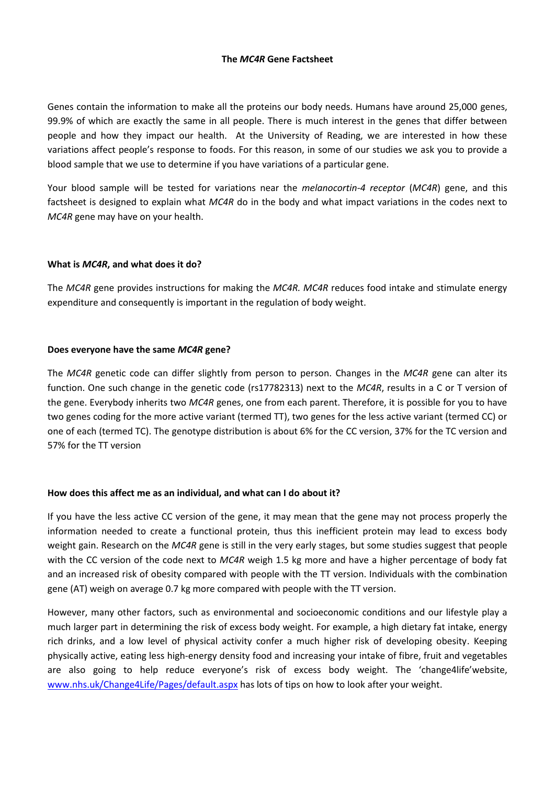## **The** *MC4R* **Gene Factsheet**

Genes contain the information to make all the proteins our body needs. Humans have around 25,000 genes, 99.9% of which are exactly the same in all people. There is much interest in the genes that differ between people and how they impact our health. At the University of Reading, we are interested in how these variations affect people's response to foods. For this reason, in some of our studies we ask you to provide a blood sample that we use to determine if you have variations of a particular gene.

Your blood sample will be tested for variations near the *melanocortin-4 receptor* (*MC4R*) gene, and this factsheet is designed to explain what *MC4R* do in the body and what impact variations in the codes next to *MC4R* gene may have on your health.

# **What is** *MC4R***, and what does it do?**

The *MC4R* gene provides instructions for making the *MC4R. MC4R* reduces food intake and stimulate energy expenditure and consequently is important in the regulation of body weight.

## **Does everyone have the same** *MC4R* **gene?**

The *MC4R* genetic code can differ slightly from person to person. Changes in the *MC4R* gene can alter its function. One such change in the genetic code (rs17782313) next to the *MC4R*, results in a C or T version of the gene. Everybody inherits two *MC4R* genes, one from each parent. Therefore, it is possible for you to have two genes coding for the more active variant (termed TT), two genes for the less active variant (termed CC) or one of each (termed TC). The genotype distribution is about 6% for the CC version, 37% for the TC version and 57% for the TT version

## **How does this affect me as an individual, and what can I do about it?**

If you have the less active CC version of the gene, it may mean that the gene may not process properly the information needed to create a functional protein, thus this inefficient protein may lead to excess body weight gain. Research on the *MC4R* gene is still in the very early stages, but some studies suggest that people with the CC version of the code next to *MC4R* weigh 1.5 kg more and have a higher percentage of body fat and an increased risk of obesity compared with people with the TT version. Individuals with the combination gene (AT) weigh on average 0.7 kg more compared with people with the TT version.

However, many other factors, such as environmental and socioeconomic conditions and our lifestyle play a much larger part in determining the risk of excess body weight. For example, a high dietary fat intake, energy rich drinks, and a low level of physical activity confer a much higher risk of developing obesity. Keeping physically active, eating less high-energy density food and increasing your intake of fibre, fruit and vegetables are also going to help reduce everyone's risk of excess body weight. The 'change4life'website, [www.nhs.uk/Change4Life/Pages/default.aspx](http://www.nhs.uk/Change4Life/Pages/default.aspx) has lots of tips on how to look after your weight.